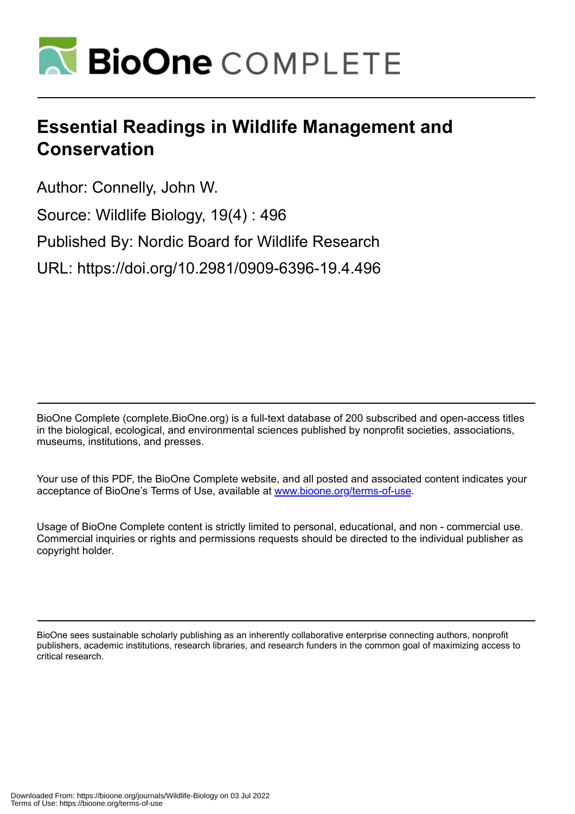

## **Essential Readings in Wildlife Management and Conservation**

Author: Connelly, John W.

Source: Wildlife Biology, 19(4) : 496

Published By: Nordic Board for Wildlife Research

URL: https://doi.org/10.2981/0909-6396-19.4.496

BioOne Complete (complete.BioOne.org) is a full-text database of 200 subscribed and open-access titles in the biological, ecological, and environmental sciences published by nonprofit societies, associations, museums, institutions, and presses.

Your use of this PDF, the BioOne Complete website, and all posted and associated content indicates your acceptance of BioOne's Terms of Use, available at www.bioone.org/terms-of-use.

Usage of BioOne Complete content is strictly limited to personal, educational, and non - commercial use. Commercial inquiries or rights and permissions requests should be directed to the individual publisher as copyright holder.

BioOne sees sustainable scholarly publishing as an inherently collaborative enterprise connecting authors, nonprofit publishers, academic institutions, research libraries, and research funders in the common goal of maximizing access to critical research.